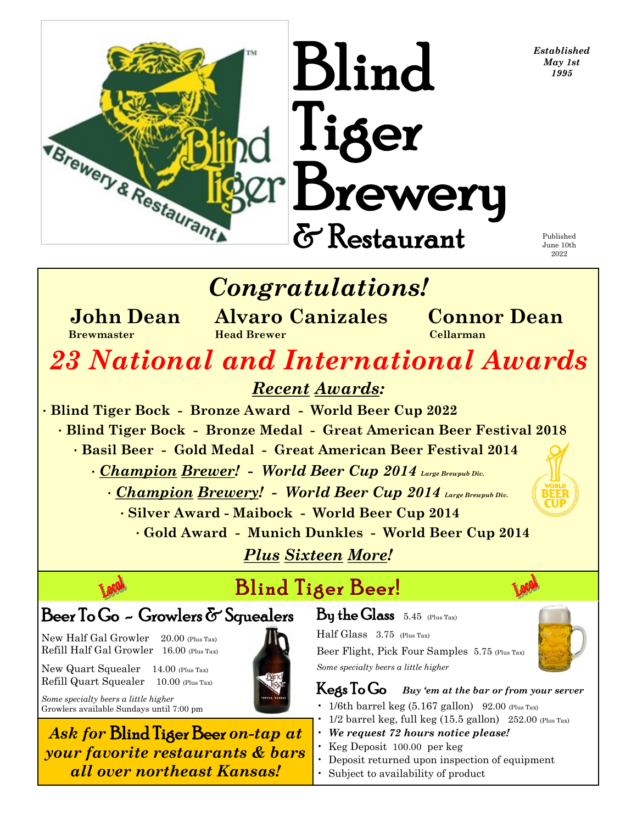*Established*  $\mathbf{B}$ linc  $\mathbf{f}_{\text{May 1st}}$ 

> Published June 10th 2022

## *Congratulations!*

Tiger

Brewery

& Restaurant

 **John Dean Alvaro Canizales Connor Dean Brewmaster Head Brewer Cellarman**

# *23 National and International Awards*

*Recent Awards:*

• **Blind Tiger Bock - Bronze Award - World Beer Cup 2022** • **Blind Tiger Bock - Bronze Medal - Great American Beer Festival 2018** • **Basil Beer - Gold Medal - Great American Beer Festival 2014** • *Champion Brewer!* **-** *World Beer Cup 2014 Large Brewpub Div.*

• *Champion Brewery!* **-** *World Beer Cup 2014 Large Brewpub Div.*

• **Silver Award - Maibock - World Beer Cup 2014**

• **Gold Award - Munich Dunkles - World Beer Cup 2014**

*Plus Sixteen More!*

## Blind Tiger Beer!

### Beer To Go - Growlers & Squealers

New Half Gal Growler 20.00 (Plus Tax) Refill Half Gal Growler 16.00 (Plus Tax)

TBrewery & Restaurance

New Quart Squealer 14.00 (Plus Tax) Refill Quart Squealer 10.00 (Plus Tax)

*Some specialty beers a little higher* Growlers available Sundays until 7:00 pm

*Ask for* Blind Tiger Beer *on-tap at your favorite restaurants & bars all over northeast Kansas!*

### By the Glass5.45 (Plus Tax)

Half Glass 3.75 (Plus Tax) Beer Flight, Pick Four Samples 5.75 (Plus Tax) *Some specialty beers a little higher*

Kegs To Go *Buy 'em at the bar or from your server*

- $\cdot$  1/6th barrel keg (5.167 gallon) 92.00 (Plus Tax)
- $1/2$  barrel keg, full keg (15.5 gallon)  $252.00$  (Plus Tax)
- *We request 72 hours notice please!*
- Keg Deposit 100.00 per keg
- Deposit returned upon inspection of equipment
- Subject to availability of product

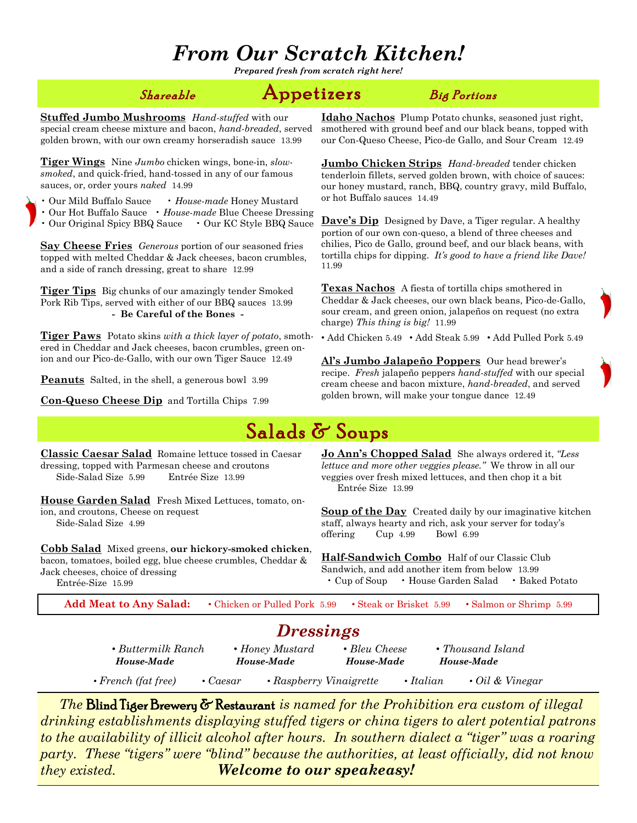### *From Our Scratch Kitchen!*

*Prepared fresh from scratch right here!*

#### $\mathcal{S}$ hareable  $\qquad \qquad \mathbf{Appetizers} \qquad \qquad \mathcal{B}$ ig Portions

**Stuffed Jumbo Mushrooms** *Hand-stuffed* with our special cream cheese mixture and bacon, *hand-breaded*, served golden brown, with our own creamy horseradish sauce 13.99

**Tiger Wings** Nine *Jumbo* chicken wings, bone-in, *slowsmoked*, and quick-fried, hand-tossed in any of our famous sauces, or, order yours *naked* 14.99

- Our Mild Buffalo Sauce *House-made* Honey Mustard
- Our Hot Buffalo Sauce *House-made* Blue Cheese Dressing
- Our Original Spicy BBQ Sauce Our KC Style BBQ Sauce

**Say Cheese Fries** *Generous* portion of our seasoned fries topped with melted Cheddar & Jack cheeses, bacon crumbles, and a side of ranch dressing, great to share 12.99

**Tiger Tips** Big chunks of our amazingly tender Smoked Pork Rib Tips, served with either of our BBQ sauces 13.99 **- Be Careful of the Bones -**

**Tiger Paws** Potato skins *with a thick layer of potato*, smothered in Cheddar and Jack cheeses, bacon crumbles, green onion and our Pico-de-Gallo, with our own Tiger Sauce 12.49

**Peanuts** Salted, in the shell, a generous bowl 3.99

**Con-Queso Cheese Dip** and Tortilla Chips 7.99

**Idaho Nachos** Plump Potato chunks, seasoned just right, smothered with ground beef and our black beans, topped with our Con-Queso Cheese, Pico-de Gallo, and Sour Cream 12.49

**Jumbo Chicken Strips** *Hand-breaded* tender chicken tenderloin fillets, served golden brown, with choice of sauces: our honey mustard, ranch, BBQ, country gravy, mild Buffalo, or hot Buffalo sauces 14.49

**Dave's Dip** Designed by Dave, a Tiger regular. A healthy portion of our own con-queso, a blend of three cheeses and chilies, Pico de Gallo, ground beef, and our black beans, with tortilla chips for dipping. *It's good to have a friend like Dave!* 11.99

**Texas Nachos** A fiesta of tortilla chips smothered in Cheddar & Jack cheeses, our own black beans, Pico-de-Gallo, sour cream, and green onion, jalapeños on request (no extra charge) *This thing is big!* 11.99

*•* Add Chicken 5.49 *•* Add Steak 5.99 *•* Add Pulled Pork 5.49

**Al's Jumbo Jalapeño Poppers** Our head brewer's recipe. *Fresh* jalapeño peppers *hand-stuffed* with our special cream cheese and bacon mixture, *hand-breaded*, and served golden brown, will make your tongue dance 12.49

### Salads & Soups

**Classic Caesar Salad** Romaine lettuce tossed in Caesar dressing, topped with Parmesan cheese and croutons Side-Salad Size 5.99 Entrée Size 13.99

**House Garden Salad** Fresh Mixed Lettuces, tomato, onion, and croutons, Cheese on request Side-Salad Size 4.99

**Cobb Salad** Mixed greens, **our hickory-smoked chicken**, bacon, tomatoes, boiled egg, blue cheese crumbles, Cheddar & Jack cheeses, choice of dressing Entrée-Size 15.99

**Jo Ann's Chopped Salad** She always ordered it, *"Less lettuce and more other veggies please."* We throw in all our veggies over fresh mixed lettuces, and then chop it a bit Entrée Size 13.99

**Soup of the Day** Created daily by our imaginative kitchen staff, always hearty and rich, ask your server for today's offering Cup 4.99 Bowl 6.99

**Half-Sandwich Combo** Half of our Classic Club Sandwich, and add another item from below 13.99 • Cup of Soup • House Garden Salad • Baked Potato

**Add Meat to Any Salad:** *•* Chicken or Pulled Pork 5.99 *•* Steak or Brisket 5.99 *•* Salmon or Shrimp 5.99

### *Dressings*

| $\bullet$ Buttermilk Ranch |                | • Honey Mustard               |  | • Bleu Cheese   | • Thousand Island     |  |
|----------------------------|----------------|-------------------------------|--|-----------------|-----------------------|--|
| House-Made                 |                | House-Made                    |  | House-Made      | House-Made            |  |
| $\cdot$ French (fat free)  | $\cdot$ Caesar | $\cdot$ Raspberry Vinaigrette |  | $\cdot$ Italian | $\cdot$ Oil & Vinegar |  |

 *The* Blind Tiger Brewery & Restaurant *is named for the Prohibition era custom of illegal drinking establishments displaying stuffed tigers or china tigers to alert potential patrons to the availability of illicit alcohol after hours. In southern dialect a "tiger" was a roaring party. These "tigers" were "blind" because the authorities, at least officially, did not know they existed. Welcome to our speakeasy!*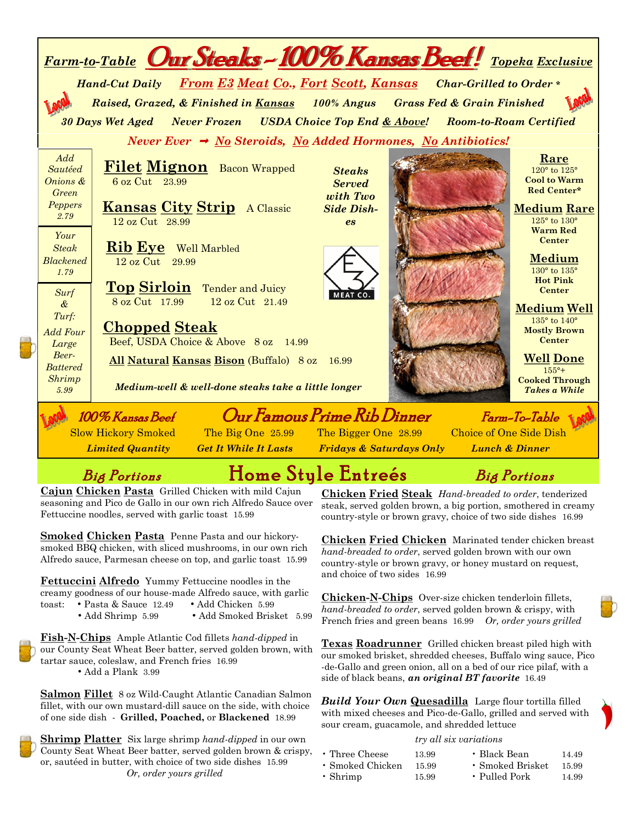| Farm-to-Table Our Steaks - 100% Kansas Beef! Topeka Exclusive                                                                                                                                                                 |                                                                                                  |  |  |  |  |  |  |
|-------------------------------------------------------------------------------------------------------------------------------------------------------------------------------------------------------------------------------|--------------------------------------------------------------------------------------------------|--|--|--|--|--|--|
| Hand-Cut Daily From E3 Meat Co., Fort Scott, Kansas Char-Grilled to Order*                                                                                                                                                    |                                                                                                  |  |  |  |  |  |  |
| Raised, Grazed, & Finished in Kansas 100% Angus Grass Fed & Grain Finished                                                                                                                                                    |                                                                                                  |  |  |  |  |  |  |
| 30 Days Wet Aged Never Frozen USDA Choice Top End & Above! Room-to-Roam Certified                                                                                                                                             |                                                                                                  |  |  |  |  |  |  |
| Never Ever $\rightarrow$ No Steroids, No Added Hormones, No Antibiotics!                                                                                                                                                      |                                                                                                  |  |  |  |  |  |  |
| Add<br><b>Filet Mignon</b> Bacon Wrapped<br>Sautéed<br><b>Steaks</b><br>Onions &<br>6 oz Cut 23.99<br><b>Served</b><br><b>Green</b><br>with Two<br>Peppers<br><b>Kansas City Strip</b> A Classic<br><b>Side Dish-</b><br>2.79 | Rare<br>120° to 125°<br><b>Cool to Warm</b><br>Red Center*<br><b>Medium Rare</b><br>125° to 130° |  |  |  |  |  |  |
| 12 oz Cut 28.99<br><b>es</b><br>Your<br><b>Rib Eye</b> Well Marbled<br><b>Steak</b><br><b>Blackened</b><br>12 oz Cut 29.99<br>1.79                                                                                            | <b>Warm Red</b><br><b>Center</b><br>Medium<br>130° to 135°<br><b>Hot Pink</b>                    |  |  |  |  |  |  |
| Top Sirloin Tender and Juicy<br>Surf<br><b>MEAT CO.</b><br>8 oz Cut 17.99<br>12 oz Cut 21.49<br>$\mathcal{\&}$<br>Turf:                                                                                                       | <b>Center</b><br><b>Medium Well</b><br>$135^{\circ}$ to $140^{\circ}$                            |  |  |  |  |  |  |
| <b>Chopped Steak</b><br><b>Add Four</b><br>Beef, USDA Choice & Above 8 oz 14.99<br>Large                                                                                                                                      | <b>Mostly Brown</b><br><b>Center</b>                                                             |  |  |  |  |  |  |
| Beer-<br>All Natural Kansas Bison (Buffalo) 8 oz 16.99<br><b>Battered</b>                                                                                                                                                     | <b>Well Done</b><br>$155^{\circ}+$                                                               |  |  |  |  |  |  |
| <b>Shrimp</b><br>Medium-well & well-done steaks take a little longer<br>5.99                                                                                                                                                  | <b>Cooked Through</b><br><b>Takes a While</b>                                                    |  |  |  |  |  |  |
| Our Famous Prime Rib Dinner<br>100% Kansas Beef                                                                                                                                                                               | Farm-To-Table                                                                                    |  |  |  |  |  |  |
| The Big One 25.99 The Bigger One 28.99 Choice of One Side Dish<br><b>Slow Hickory Smoked</b><br><b>Limited Quantity</b><br><b>Get It While It Lasts</b> Fridays & Saturdays Only                                              | <b>Lunch &amp; Dinner</b>                                                                        |  |  |  |  |  |  |

### Big Portions Home Style Entreés Big Portions

**Cajun Chicken Pasta** Grilled Chicken with mild Cajun seasoning and Pico de Gallo in our own rich Alfredo Sauce over Fettuccine noodles, served with garlic toast 15.99

**Smoked Chicken Pasta** Penne Pasta and our hickorysmoked BBQ chicken, with sliced mushrooms, in our own rich Alfredo sauce, Parmesan cheese on top, and garlic toast 15.99

**Fettuccini Alfredo** Yummy Fettuccine noodles in the creamy goodness of our house-made Alfredo sauce, with garlic toast: *•* Pasta & Sauce 12.49 *•* Add Chicken 5.99

- 
- Add Shrimp 5.99 Add Smoked Brisket 5.99

**Fish-N-Chips** Ample Atlantic Cod fillets *hand-dipped* in our County Seat Wheat Beer batter, served golden brown, with tartar sauce, coleslaw, and French fries 16.99

*•* Add a Plank 3.99

**Salmon Fillet** 8 oz Wild-Caught Atlantic Canadian Salmon fillet, with our own mustard-dill sauce on the side, with choice of one side dish - **Grilled, Poached,** or **Blackened** 18.99

**Shrimp Platter** Six large shrimp *hand-dipped* in our own County Seat Wheat Beer batter, served golden brown & crispy, or, sautéed in butter, with choice of two side dishes 15.99  *Or, order yours grilled*

**Chicken Fried Steak** *Hand-breaded to order*, tenderized steak, served golden brown, a big portion, smothered in creamy country-style or brown gravy, choice of two side dishes 16.99

**Chicken Fried Chicken** Marinated tender chicken breast *hand-breaded to order*, served golden brown with our own country-style or brown gravy, or honey mustard on request, and choice of two sides 16.99

**Chicken-N-Chips** Over-size chicken tenderloin fillets, *hand-breaded to order*, served golden brown & crispy, with French fries and green beans 16.99 *Or, order yours grilled*

**Texas Roadrunner** Grilled chicken breast piled high with our smoked brisket, shredded cheeses, Buffalo wing sauce, Pico -de-Gallo and green onion, all on a bed of our rice pilaf, with a side of black beans, *an original BT favorite* 16.49

*Build Your Own* **Quesadilla** Large flour tortilla filled with mixed cheeses and Pico-de-Gallo, grilled and served with sour cream, guacamole, and shredded lettuce

#### *try all six variations*

| $\cdot$ Three Cheese   | 13.99 | • Black Bean           | 14.49 |
|------------------------|-------|------------------------|-------|
| $\cdot$ Smoked Chicken | 15.99 | $\cdot$ Smoked Brisket | 15.99 |
| $\cdot$ Shrimp         | 15.99 | • Pulled Pork          | 14.99 |

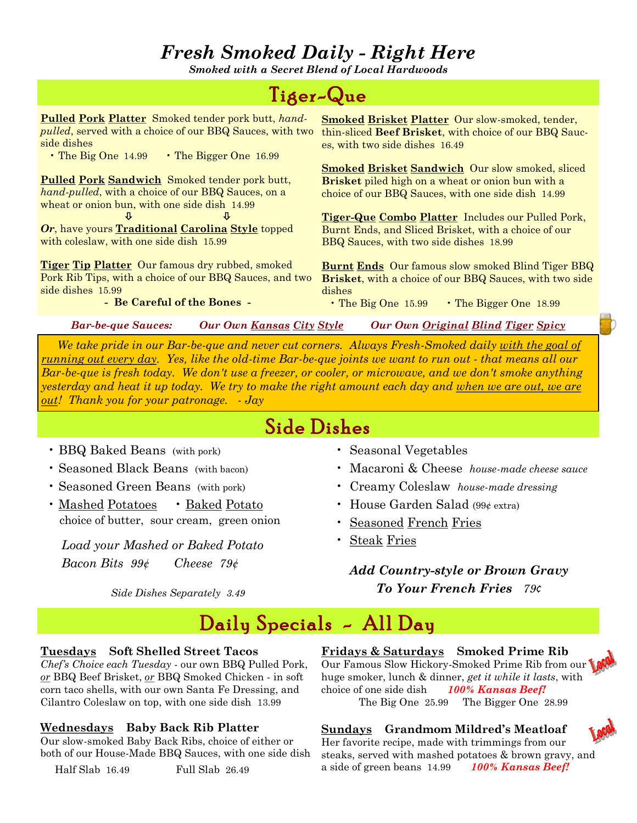### *Fresh Smoked Daily - Right Here*

*Smoked with a Secret Blend of Local Hardwoods*

### Tiger-Que

**Pulled Pork Platter** Smoked tender pork butt, *handpulled*, served with a choice of our BBQ Sauces, with two side dishes

• The Big One 14.99 • The Bigger One 16.99

**Pulled Pork Sandwich** Smoked tender pork butt, *hand-pulled*, with a choice of our BBQ Sauces, on a wheat or onion bun, with one side dish 14.99

 *Or*, have yours **Traditional Carolina Style** topped with coleslaw, with one side dish 15.99

**Tiger Tip Platter** Our famous dry rubbed, smoked Pork Rib Tips, with a choice of our BBQ Sauces, and two side dishes 15.99

**- Be Careful of the Bones -**

**Smoked Brisket Platter** Our slow-smoked, tender, thin-sliced **Beef Brisket**, with choice of our BBQ Sauces, with two side dishes 16.49

**Smoked Brisket Sandwich** Our slow smoked, sliced **Brisket** piled high on a wheat or onion bun with a choice of our BBQ Sauces, with one side dish 14.99

**Tiger-Que Combo Platter** Includes our Pulled Pork, Burnt Ends, and Sliced Brisket, with a choice of our BBQ Sauces, with two side dishes 18.99

**Burnt Ends** Our famous slow smoked Blind Tiger BBQ **Brisket**, with a choice of our BBQ Sauces, with two side dishes

• The Big One 15.99 • The Bigger One 18.99

*Bar-be-que Sauces: Our Own Kansas City Style Our Own Original Blind Tiger Spicy* 

 *We take pride in our Bar-be-que and never cut corners. Always Fresh-Smoked daily with the goal of running out every day. Yes, like the old-time Bar-be-que joints we want to run out - that means all our Bar-be-que is fresh today. We don't use a freezer, or cooler, or microwave, and we don't smoke anything yesterday and heat it up today. We try to make the right amount each day and when we are out, we are out! Thank you for your patronage. - Jay*

### Side Dishes

- BBQ Baked Beans (with pork)
- Seasoned Black Beans (with bacon)
- Seasoned Green Beans (with pork)
- Mashed Potatoes Baked Potato choice of butter, sour cream, green onion

 *Load your Mashed or Baked Potato Bacon Bits 99¢ Cheese 79¢*

*Side Dishes Separately 3.49*

- Seasonal Vegetables
- Macaroni & Cheese *house-made cheese sauce*
- Creamy Coleslaw *house-made dressing*
- House Garden Salad (99¢ extra)
- Seasoned French Fries
- Steak Fries

*Add Country-style or Brown Gravy To Your French Fries 79¢*

### Daily Specials - All Day

#### **Tuesdays Soft Shelled Street Tacos**

*Chef's Choice each Tuesday* - our own BBQ Pulled Pork, *or* BBQ Beef Brisket, *or* BBQ Smoked Chicken - in soft corn taco shells, with our own Santa Fe Dressing, and Cilantro Coleslaw on top, with one side dish 13.99

#### **Wednesdays Baby Back Rib Platter**

Our slow-smoked Baby Back Ribs, choice of either or both of our House-Made BBQ Sauces, with one side dish

Half Slab 16.49 Full Slab 26.49

**Fridays & Saturdays Smoked Prime Rib** Our Famous Slow Hickory-Smoked Prime Rib from our huge smoker, lunch & dinner, *get it while it lasts*, with choice of one side dish *100% Kansas Beef!* The Big One 25.99 The Bigger One 28.99

#### **Sundays Grandmom Mildred's Meatloaf**

Her favorite recipe, made with trimmings from our steaks, served with mashed potatoes & brown gravy, and a side of green beans 14.99 *100% Kansas Beef!*

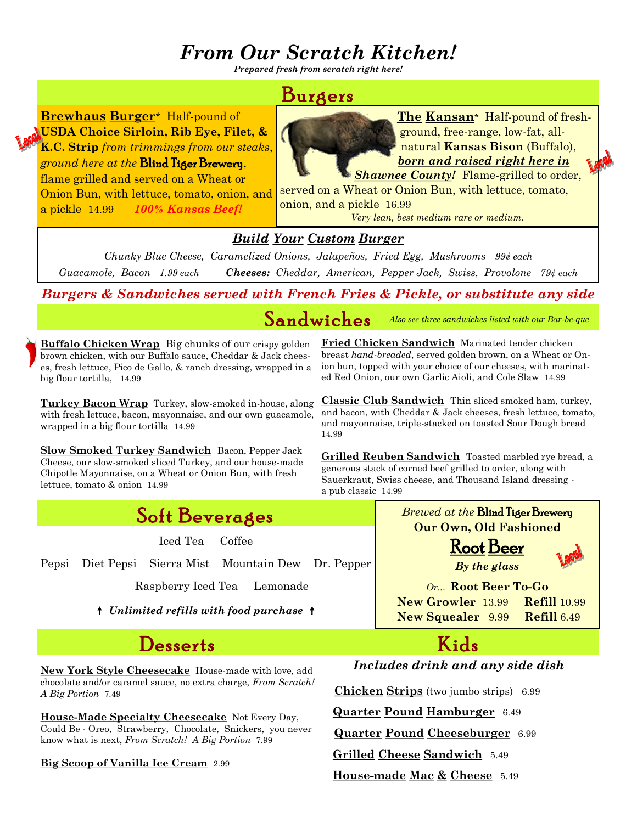### *From Our Scratch Kitchen!*

*Prepared fresh from scratch right here!*

### Burgers

**Brewhaus Burger**\*Half-pound of **USDA Choice Sirloin, Rib Eye, Filet, & K.C. Strip** *from trimmings from our steaks*, *ground here at the* Blind Tiger Brewery,

flame grilled and served on a Wheat or Onion Bun, with lettuce, tomato, onion, and a pickle 14.99 *100% Kansas Beef!*

**The Kansan**\*Half-pound of freshground, free-range, low-fat, allnatural **Kansas Bison** (Buffalo), *born and raised right here in* 

**Shawnee County!** Flame-grilled to order, served on a Wheat or Onion Bun, with lettuce, tomato, onion, and a pickle 16.99

*Very lean, best medium rare or medium.*

#### *Build Your Custom Burger*

*Chunky Blue Cheese, Caramelized Onions, Jalapeños, Fried Egg, Mushrooms 99¢ each Guacamole, Bacon 1.99 each Cheeses: Cheddar, American, Pepper Jack, Swiss, Provolone 79¢ each*

*Burgers & Sandwiches served with French Fries & Pickle, or substitute any side*

Sandwiches *Also see three sandwiches listed with our Bar-be-que*

**Buffalo Chicken Wrap** Big chunks of our crispy golden brown chicken, with our Buffalo sauce, Cheddar & Jack cheeses, fresh lettuce, Pico de Gallo, & ranch dressing, wrapped in a big flour tortilla, 14.99

**Turkey Bacon Wrap** Turkey, slow-smoked in-house, along with fresh lettuce, bacon, mayonnaise, and our own guacamole, wrapped in a big flour tortilla 14.99

**Slow Smoked Turkey Sandwich** Bacon, Pepper Jack Cheese, our slow-smoked sliced Turkey, and our house-made Chipotle Mayonnaise, on a Wheat or Onion Bun, with fresh lettuce, tomato & onion 14.99



Iced Tea Coffee

Pepsi Diet Pepsi Sierra Mist Mountain Dew Dr. Pepper

Raspberry Iced Tea Lemonade

*Unlimited refills with food purchase* 

### Desserts Kids

**New York Style Cheesecake** House-made with love, add chocolate and/or caramel sauce, no extra charge, *From Scratch! A Big Portion* 7.49

**House-Made Specialty Cheesecake** Not Every Day, Could Be - Oreo, Strawberry, Chocolate, Snickers, you never know what is next, *From Scratch! A Big Portion* 7.99

**Big Scoop of Vanilla Ice Cream** 2.99

**Fried Chicken Sandwich** Marinated tender chicken breast *hand-breaded*, served golden brown, on a Wheat or Onion bun, topped with your choice of our cheeses, with marinated Red Onion, our own Garlic Aioli, and Cole Slaw 14.99

**Classic Club Sandwich** Thin sliced smoked ham, turkey, and bacon, with Cheddar & Jack cheeses, fresh lettuce, tomato, and mayonnaise, triple-stacked on toasted Sour Dough bread 14.99

**Grilled Reuben Sandwich** Toasted marbled rye bread, a generous stack of corned beef grilled to order, along with Sauerkraut, Swiss cheese, and Thousand Island dressing a pub classic 14.99





*Or...* **Root Beer To-Go New Growler** 13.99 **Refill** 10.99

 **New Squealer** 9.99 **Refill** 6.49



#### *Includes drink and any side dish*

**Chicken Strips** (two jumbo strips) 6.99

**Quarter Pound Hamburger** 6.49

**Quarter Pound Cheeseburger** 6.99

**Grilled Cheese Sandwich** 5.49

**House-made Mac & Cheese** 5.49